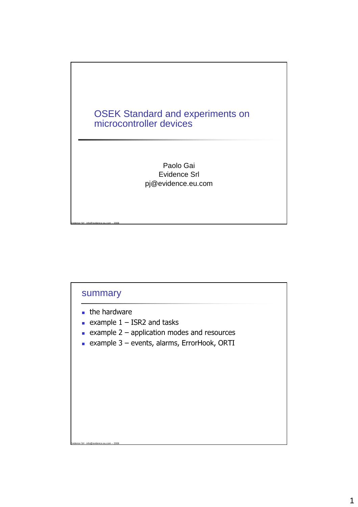

## summary

- **the hardware**
- example  $1 -$  ISR2 and tasks
- **Example 2 application modes and resources**
- example 3 events, alarms, ErrorHook, ORTI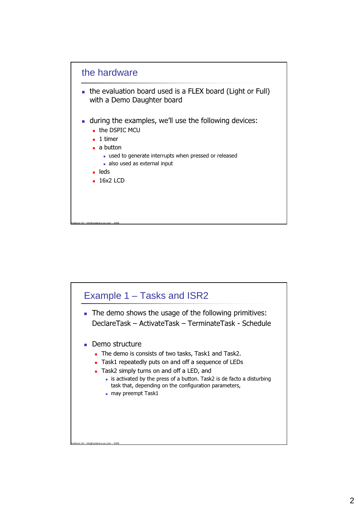

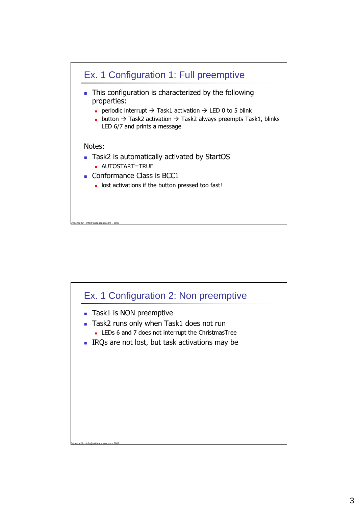

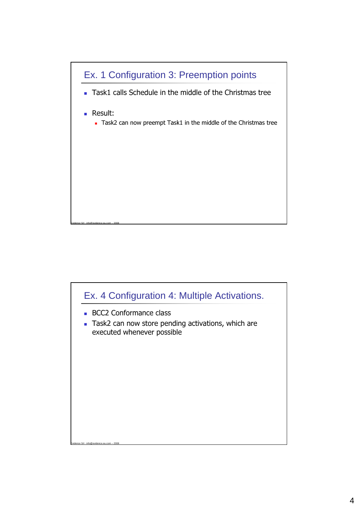

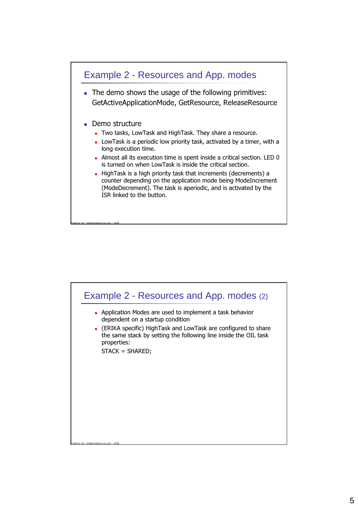

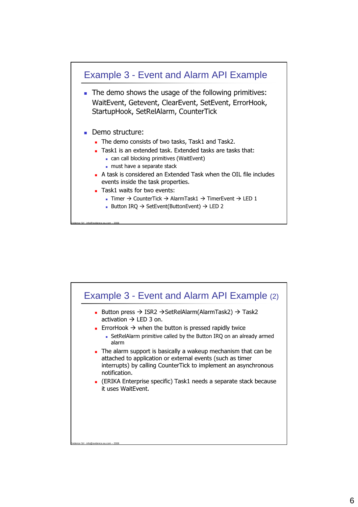